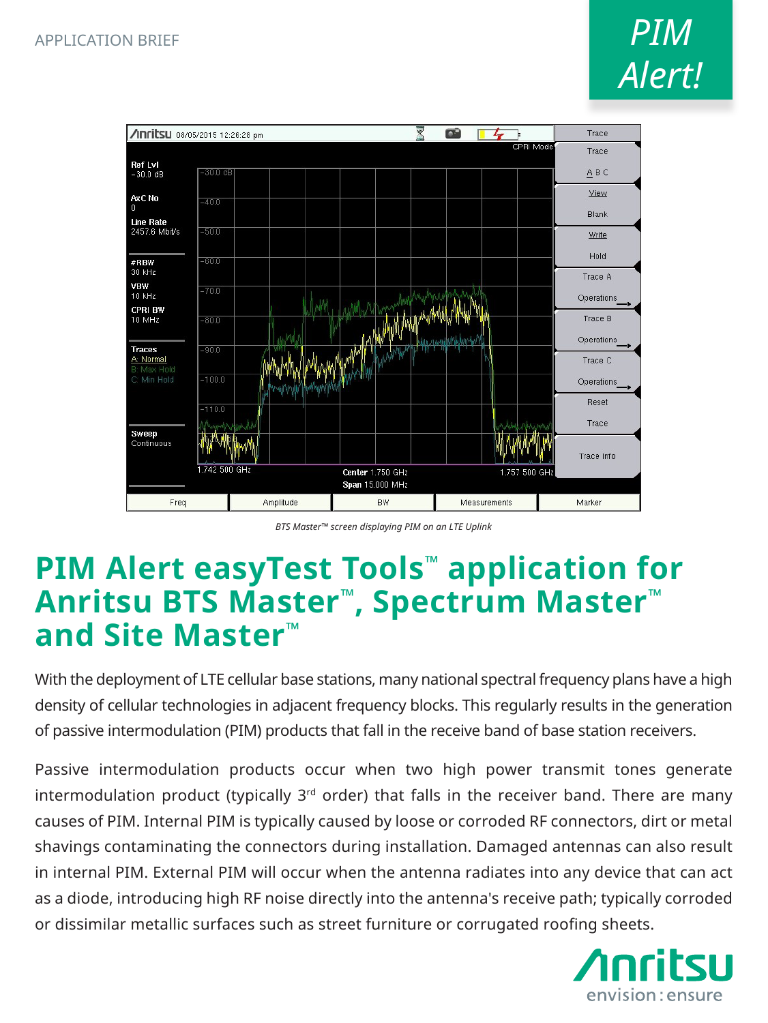

*BTS Master™ screen displaying PIM on an LTE Uplink*

## **PIM Alert easyTest Tools™ application for Anritsu BTS Master™, Spectrum Master™ and Site Master™**

With the deployment of LTE cellular base stations, many national spectral frequency plans have a high density of cellular technologies in adjacent frequency blocks. This regularly results in the generation of passive intermodulation (PIM) products that fall in the receive band of base station receivers.

Passive intermodulation products occur when two high power transmit tones generate intermodulation product (typically  $3<sup>rd</sup>$  order) that falls in the receiver band. There are many causes of PIM. Internal PIM is typically caused by loose or corroded RF connectors, dirt or metal shavings contaminating the connectors during installation. Damaged antennas can also result in internal PIM. External PIM will occur when the antenna radiates into any device that can act as a diode, introducing high RF noise directly into the antenna's receive path; typically corroded or dissimilar metallic surfaces such as street furniture or corrugated roofing sheets.